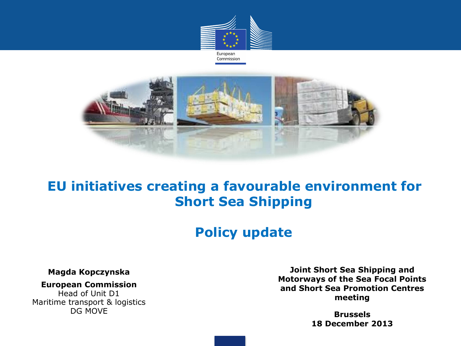



### **EU initiatives creating a favourable environment for Short Sea Shipping**

### **Policy update**

#### **Magda Kopczynska**

#### **European Commission**

Head of Unit D1 Maritime transport & logistics DG MOVE

**Joint Short Sea Shipping and Motorways of the Sea Focal Points and Short Sea Promotion Centres meeting**

> **Brussels 18 December 2013**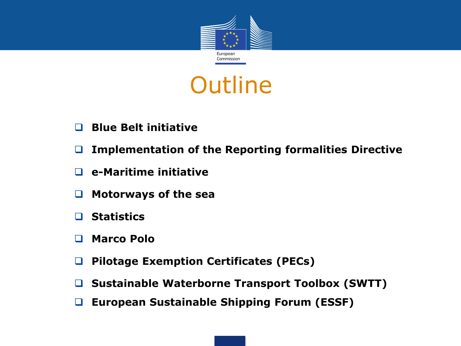

# **Outline**

- **Blue Belt initiative**
- **Implementation of the Reporting formalities Directive**
- **e-Maritime initiative**
- **Motorways of the sea**
- **Statistics**
- **Marco Polo**
- **Pilotage Exemption Certificates (PECs)**
- **Sustainable Waterborne Transport Toolbox (SWTT)**
- **European Sustainable Shipping Forum (ESSF)**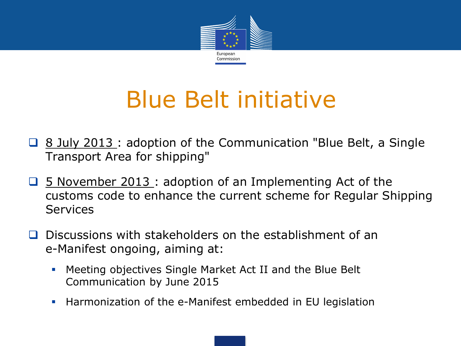

# Blue Belt initiative

- **Q** 8 July 2013 : adoption of the Communication "Blue Belt, a Single Transport Area for shipping"
- **□** 5 November 2013 : adoption of an Implementing Act of the customs code to enhance the current scheme for Regular Shipping Services
- $\Box$  Discussions with stakeholders on the establishment of an e-Manifest ongoing, aiming at:
	- Meeting objectives Single Market Act II and the Blue Belt Communication by June 2015
	- **Harmonization of the e-Manifest embedded in EU legislation**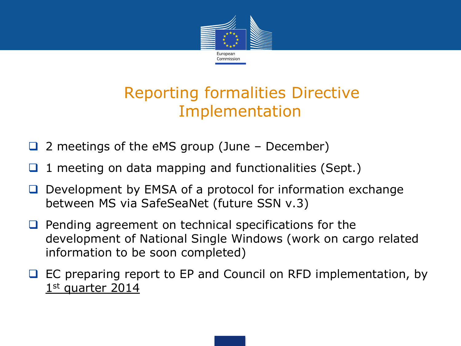

# Reporting formalities Directive Implementation

- 2 meetings of the eMS group (June December)
- 1 meeting on data mapping and functionalities (Sept.)
- Development by EMSA of a protocol for information exchange between MS via SafeSeaNet (future SSN v.3)
- $\Box$  Pending agreement on technical specifications for the development of National Single Windows (work on cargo related information to be soon completed)
- EC preparing report to EP and Council on RFD implementation, by 1st quarter 2014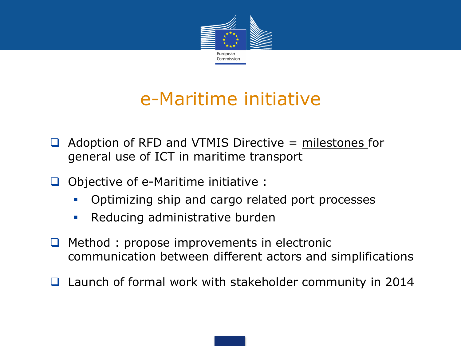

# e-Maritime initiative

- $\Box$  Adoption of RFD and VTMIS Directive = milestones for general use of ICT in maritime transport
- $\Box$  Objective of e-Maritime initiative :
	- **•** Optimizing ship and cargo related port processes
	- **Reducing administrative burden**
- $\Box$  Method : propose improvements in electronic communication between different actors and simplifications
- Launch of formal work with stakeholder community in 2014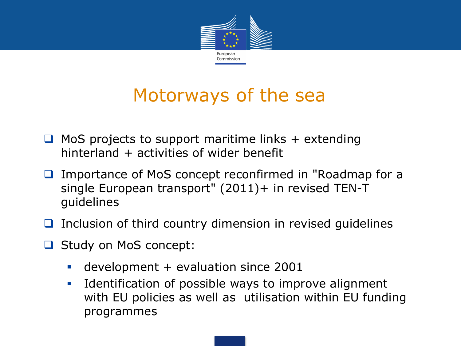

# Motorways of the sea

- $\Box$  MoS projects to support maritime links + extending hinterland + activities of wider benefit
- Importance of MoS concept reconfirmed in "Roadmap for a single European transport" (2011)+ in revised TEN-T guidelines
- $\Box$  Inclusion of third country dimension in revised guidelines
- □ Study on MoS concept:
	- development + evaluation since 2001
	- Identification of possible ways to improve alignment with EU policies as well as utilisation within EU funding programmes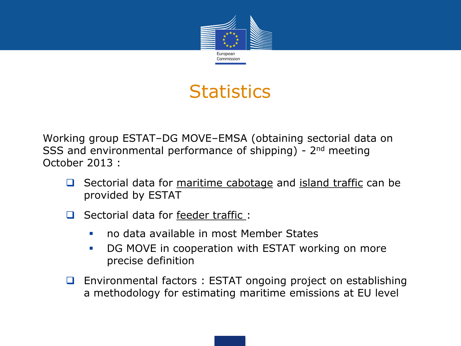

# **Statistics**

Working group ESTAT–DG MOVE–EMSA (obtaining sectorial data on SSS and environmental performance of shipping) - 2<sup>nd</sup> meeting October 2013 :

- $\Box$  Sectorial data for maritime cabotage and island traffic can be provided by ESTAT
- Sectorial data for feeder traffic:
	- no data available in most Member States
	- **DG MOVE in cooperation with ESTAT working on more** precise definition
- $\Box$  Environmental factors : ESTAT ongoing project on establishing a methodology for estimating maritime emissions at EU level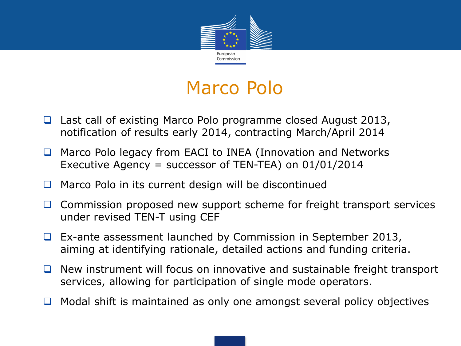

# Marco Polo

- Last call of existing Marco Polo programme closed August 2013, notification of results early 2014, contracting March/April 2014
- Marco Polo legacy from EACI to INEA (Innovation and Networks Executive Agency = successor of TEN-TEA) on 01/01/2014
- $\Box$  Marco Polo in its current design will be discontinued
- $\Box$  Commission proposed new support scheme for freight transport services under revised TEN-T using CEF
- $\Box$  Ex-ante assessment launched by Commission in September 2013, aiming at identifying rationale, detailed actions and funding criteria.
- $\Box$  New instrument will focus on innovative and sustainable freight transport services, allowing for participation of single mode operators.
- $\Box$  Modal shift is maintained as only one amongst several policy objectives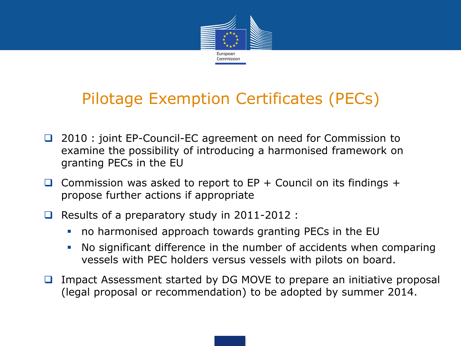

# Pilotage Exemption Certificates (PECs)

- □ 2010 : joint EP-Council-EC agreement on need for Commission to examine the possibility of introducing a harmonised framework on granting PECs in the EU
- Commission was asked to report to  $EP + Count$  Council on its findings  $+$ propose further actions if appropriate
- Results of a preparatory study in  $2011-2012$ :
	- no harmonised approach towards granting PECs in the EU
	- No significant difference in the number of accidents when comparing vessels with PEC holders versus vessels with pilots on board.
- $\Box$  Impact Assessment started by DG MOVE to prepare an initiative proposal (legal proposal or recommendation) to be adopted by summer 2014.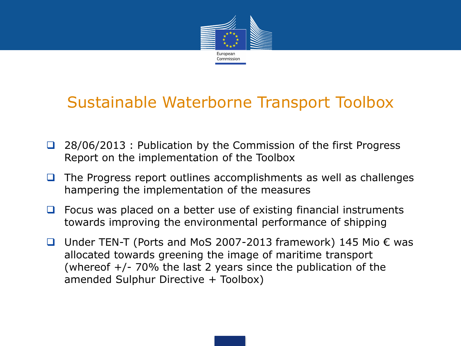

## Sustainable Waterborne Transport Toolbox

- □ 28/06/2013 : Publication by the Commission of the first Progress Report on the implementation of the Toolbox
- $\Box$  The Progress report outlines accomplishments as well as challenges hampering the implementation of the measures
- $\Box$  Focus was placed on a better use of existing financial instruments towards improving the environmental performance of shipping
- Under TEN-T (Ports and MoS 2007-2013 framework) 145 Mio  $\epsilon$  was allocated towards greening the image of maritime transport (whereof  $+/-$  70% the last 2 years since the publication of the amended Sulphur Directive + Toolbox)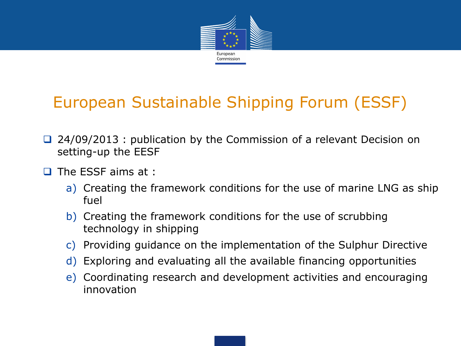

# European Sustainable Shipping Forum (ESSF)

- $\Box$  24/09/2013 : publication by the Commission of a relevant Decision on setting-up the EESF
- $\Box$  The ESSF aims at :
	- a) Creating the framework conditions for the use of marine LNG as ship fuel
	- b) Creating the framework conditions for the use of scrubbing technology in shipping
	- c) Providing guidance on the implementation of the Sulphur Directive
	- d) Exploring and evaluating all the available financing opportunities
	- e) Coordinating research and development activities and encouraging innovation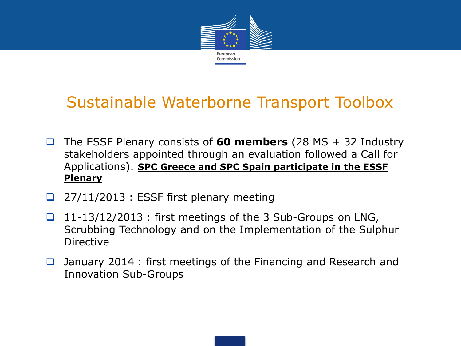

## Sustainable Waterborne Transport Toolbox

- The ESSF Plenary consists of **60 members** (28 MS + 32 Industry stakeholders appointed through an evaluation followed a Call for Applications). **SPC Greece and SPC Spain participate in the ESSF Plenary**
- 27/11/2013 : ESSF first plenary meeting
- $\Box$  11-13/12/2013 : first meetings of the 3 Sub-Groups on LNG, Scrubbing Technology and on the Implementation of the Sulphur Directive
- **□** January 2014 : first meetings of the Financing and Research and Innovation Sub-Groups